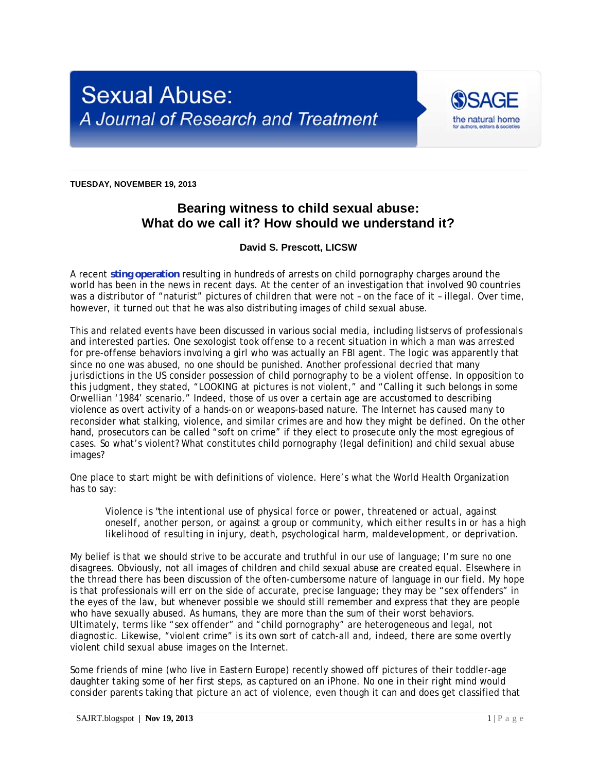

**TUESDAY, NOVEMBER 19, 2013** 

## **Bearing witness to child sexual abuse: What do we call it? How should we understand it?**

## **David S. Prescott, LICSW**

A recent **sting operation** resulting in hundreds of arrests on child pornography charges around the world has been in the news in recent days. At the center of an investigation that involved 90 countries was a distributor of "naturist" pictures of children that were not - on the face of it - illegal. Over time, however, it turned out that he was also distributing images of child sexual abuse.

This and related events have been discussed in various social media, including listservs of professionals and interested parties. One sexologist took offense to a recent situation in which a man was arrested for pre-offense behaviors involving a girl who was actually an FBI agent. The logic was apparently that since no one was abused, no one should be punished. Another professional decried that many jurisdictions in the US consider possession of child pornography to be a violent offense. In opposition to this judgment, they stated, "LOOKING at pictures is not violent," and "Calling it such belongs in some Orwellian '1984' scenario." Indeed, those of us over a certain age are accustomed to describing violence as overt activity of a hands-on or weapons-based nature. The Internet has caused many to reconsider what stalking, violence, and similar crimes are and how they might be defined. On the other hand, prosecutors can be called "soft on crime" if they elect to prosecute only the most egregious of cases. So what's violent? What constitutes child pornography (legal definition) and child sexual abuse images?

One place to start might be with definitions of violence. Here's what the World Health Organization has to say:

*Violence is "the intentional use of physical force or power, threatened or actual, against oneself, another person, or against a group or community, which either results in or has a high likelihood of resulting in injury, death, psychological harm, maldevelopment, or deprivation.* 

My belief is that we should strive to be accurate and truthful in our use of language; I'm sure no one disagrees. Obviously, not all images of children and child sexual abuse are created equal. Elsewhere in the thread there has been discussion of the often-cumbersome nature of language in our field. My hope is that professionals will err on the side of accurate, precise language; they may be "sex offenders" in the eyes of the law, but whenever possible we should still remember and express that they are people who have sexually abused. As humans, they are more than the sum of their worst behaviors. Ultimately, terms like "sex offender" and "child pornography" are heterogeneous and legal, not diagnostic. Likewise, "violent crime" is its own sort of catch-all and, indeed, there are some overtly violent child sexual abuse images on the Internet.

Some friends of mine (who live in Eastern Europe) recently showed off pictures of their toddler-age daughter taking some of her first steps, as captured on an iPhone. No one in their right mind would consider parents taking that picture an act of violence, even though it can and does get classified that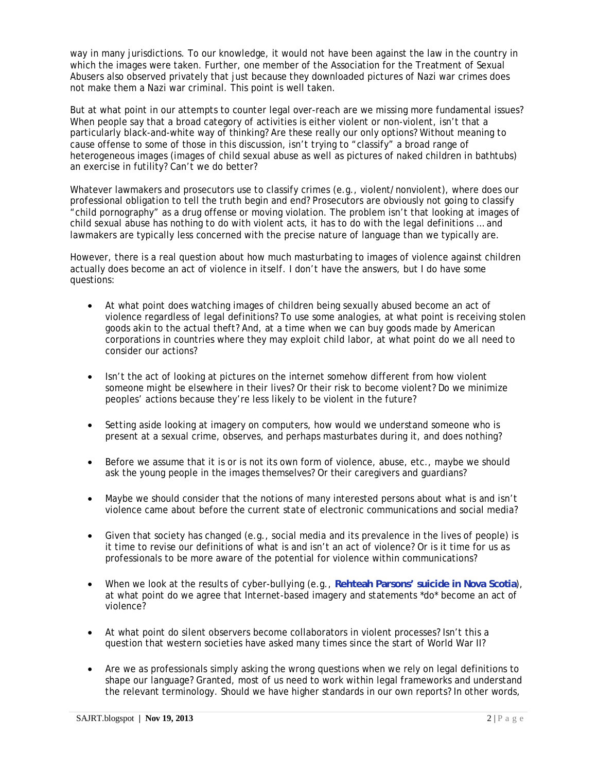way in many jurisdictions. To our knowledge, it would not have been against the law in the country in which the images were taken. Further, one member of the Association for the Treatment of Sexual Abusers also observed privately that just because they downloaded pictures of Nazi war crimes does not make them a Nazi war criminal. This point is well taken.

But at what point in our attempts to counter legal over-reach are we missing more fundamental issues? When people say that a broad category of activities is either violent or non-violent, isn't that a particularly black-and-white way of thinking? Are these really our only options? Without meaning to cause offense to some of those in this discussion, isn't trying to "classify" a broad range of heterogeneous images (images of child sexual abuse as well as pictures of naked children in bathtubs) an exercise in futility? Can't we do better?

Whatever lawmakers and prosecutors use to classify crimes (e.g., violent/nonviolent), where does our professional obligation to tell the truth begin and end? Prosecutors are obviously not going to classify "child pornography" as a drug offense or moving violation. The problem isn't that looking at images of child sexual abuse has nothing to do with violent acts, it has to do with the legal definitions … and lawmakers are typically less concerned with the precise nature of language than we typically are.

However, there is a real question about how much masturbating to images of violence against children actually does become an act of violence in itself. I don't have the answers, but I do have some questions:

- At what point does watching images of children being sexually abused become an act of violence regardless of legal definitions? To use some analogies, at what point is receiving stolen goods akin to the actual theft? And, at a time when we can buy goods made by American corporations in countries where they may exploit child labor, at what point do we all need to consider our actions?
- Isn't the act of looking at pictures on the internet somehow different from how violent someone might be elsewhere in their lives? Or their risk to become violent? Do we minimize peoples' actions because they're less likely to be violent in the future?
- Setting aside looking at imagery on computers, how would we understand someone who is present at a sexual crime, observes, and perhaps masturbates during it, and does nothing?
- Before we assume that it is or is not its own form of violence, abuse, etc., maybe we should ask the young people in the images themselves? Or their caregivers and guardians?
- Maybe we should consider that the notions of many interested persons about what is and isn't violence came about before the current state of electronic communications and social media?
- Given that society has changed (e.g., social media and its prevalence in the lives of people) is it time to revise our definitions of what is and isn't an act of violence? Or is it time for us as professionals to be more aware of the potential for violence within communications?
- When we look at the results of cyber-bullying (e.g., **Rehteah Parsons' suicide in Nova Scotia**), at what point do we agree that Internet-based imagery and statements \*do\* become an act of violence?
- At what point do silent observers become collaborators in violent processes? Isn't this a question that western societies have asked many times since the start of World War II?
- Are we as professionals simply asking the wrong questions when we rely on legal definitions to shape our language? Granted, most of us need to work within legal frameworks and understand the relevant terminology. Should we have higher standards in our own reports? In other words,